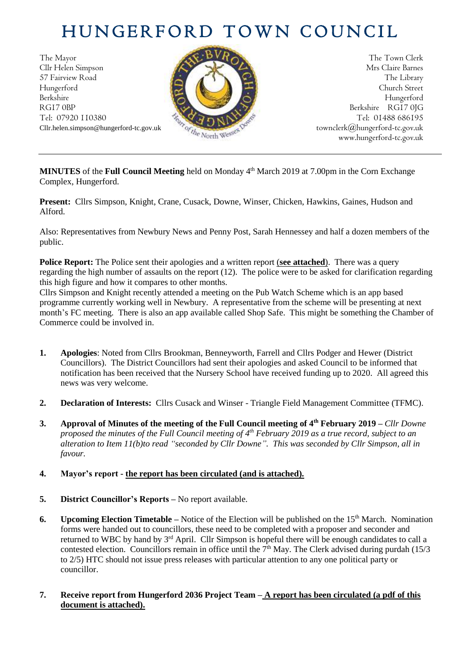# HUNGERFORD TOWN COUNCIL

The Mayor The Town Clerk Cllr Helen Simpson Mrs Claire Barnes 57 Fairview Road The Library (2004) The Library (2004) The Library Hungerford Church Street Berkshire Hungerford RG17 0BP Berkshire RG17 0JG Tel: 07920 110380 **Tel: 07920 110380** Tel: 01488 686195



Cllr.helen.simpson@hungerford-tc.gov.uk [townclerk@hungerford-tc.gov.uk](mailto:townclerk@hungerford-tc.gov.uk) townclerk@hungerford-tc.gov.uk www.hungerford-tc.gov.uk www.hungerford-tc.gov.uk

**MINUTES** of the **Full Council Meeting** held on Monday 4 th March 2019 at 7.00pm in the Corn Exchange Complex, Hungerford.

**Present:** Cllrs Simpson, Knight, Crane, Cusack, Downe, Winser, Chicken, Hawkins, Gaines, Hudson and Alford.

Also: Representatives from Newbury News and Penny Post, Sarah Hennessey and half a dozen members of the public.

**Police Report:** The Police sent their apologies and a written report (**see attached**). There was a query regarding the high number of assaults on the report (12). The police were to be asked for clarification regarding this high figure and how it compares to other months.

Cllrs Simpson and Knight recently attended a meeting on the Pub Watch Scheme which is an app based programme currently working well in Newbury. A representative from the scheme will be presenting at next month's FC meeting. There is also an app available called Shop Safe. This might be something the Chamber of Commerce could be involved in.

- **1. Apologies**: Noted from Cllrs Brookman, Benneyworth, Farrell and Cllrs Podger and Hewer (District Councillors). The District Councillors had sent their apologies and asked Council to be informed that notification has been received that the Nursery School have received funding up to 2020. All agreed this news was very welcome.
- **2. Declaration of Interests:** Cllrs Cusack and Winser Triangle Field Management Committee (TFMC).
- **3. Approval of Minutes of the meeting of the Full Council meeting of 4 th February 2019 –** *Cllr Downe proposed the minutes of the Full Council meeting of 4 th February 2019 as a true record, subject to an alteration to Item 11(b)to read "seconded by Cllr Downe". This was seconded by Cllr Simpson, all in favour.*

# **4. Mayor's report - the report has been circulated (and is attached).**

- **5. District Councillor's Reports –** No report available.
- **6.** Upcoming Election Timetable Notice of the Election will be published on the 15<sup>th</sup> March. Nomination forms were handed out to councillors, these need to be completed with a proposer and seconder and returned to WBC by hand by 3<sup>rd</sup> April. Cllr Simpson is hopeful there will be enough candidates to call a contested election. Councillors remain in office until the  $7<sup>th</sup>$  May. The Clerk advised during purdah (15/3) to 2/5) HTC should not issue press releases with particular attention to any one political party or councillor.
- **7. Receive report from Hungerford 2036 Project Team – A report has been circulated (a pdf of this document is attached).**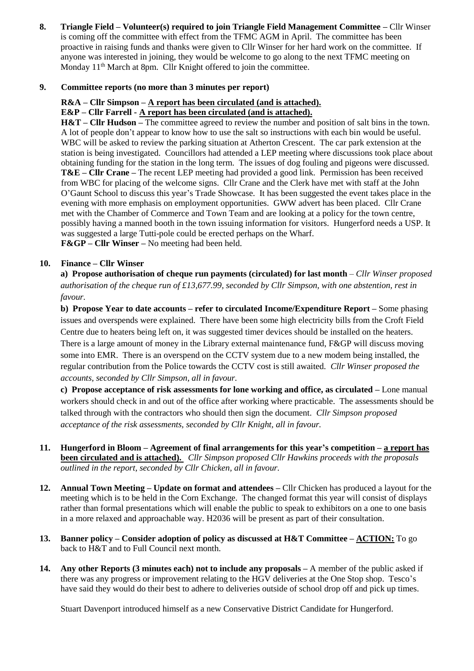**8. Triangle Field – Volunteer(s) required to join Triangle Field Management Committee –** Cllr Winser is coming off the committee with effect from the TFMC AGM in April. The committee has been proactive in raising funds and thanks were given to Cllr Winser for her hard work on the committee. If anyone was interested in joining, they would be welcome to go along to the next TFMC meeting on Monday 11<sup>th</sup> March at 8pm. Cllr Knight offered to join the committee.

#### **9. Committee reports (no more than 3 minutes per report)**

#### **R&A – Cllr Simpson – A report has been circulated (and is attached).**

## **E&P – Cllr Farrell - A report has been circulated (and is attached).**

**H&T – Cllr Hudson –** The committee agreed to review the number and position of salt bins in the town. A lot of people don't appear to know how to use the salt so instructions with each bin would be useful. WBC will be asked to review the parking situation at Atherton Crescent. The car park extension at the station is being investigated. Councillors had attended a LEP meeting where discussions took place about obtaining funding for the station in the long term. The issues of dog fouling and pigeons were discussed. **T&E – Cllr Crane –** The recent LEP meeting had provided a good link. Permission has been received from WBC for placing of the welcome signs. Cllr Crane and the Clerk have met with staff at the John O'Gaunt School to discuss this year's Trade Showcase. It has been suggested the event takes place in the evening with more emphasis on employment opportunities. GWW advert has been placed. Cllr Crane met with the Chamber of Commerce and Town Team and are looking at a policy for the town centre, possibly having a manned booth in the town issuing information for visitors. Hungerford needs a USP. It was suggested a large Tutti-pole could be erected perhaps on the Wharf. **F&GP – Cllr Winser –** No meeting had been held.

**10. Finance – Cllr Winser**

**a) Propose authorisation of cheque run payments (circulated) for last month** – *Cllr Winser proposed authorisation of the cheque run of £13,677.99, seconded by Cllr Simpson, with one abstention, rest in favour.* 

**b) Propose Year to date accounts – refer to circulated Income/Expenditure Report –** Some phasing issues and overspends were explained. There have been some high electricity bills from the Croft Field Centre due to heaters being left on, it was suggested timer devices should be installed on the heaters. There is a large amount of money in the Library external maintenance fund, F&GP will discuss moving some into EMR. There is an overspend on the CCTV system due to a new modem being installed, the regular contribution from the Police towards the CCTV cost is still awaited. *Cllr Winser proposed the accounts, seconded by Cllr Simpson, all in favour.*

**c) Propose acceptance of risk assessments for lone working and office, as circulated –** Lone manual workers should check in and out of the office after working where practicable. The assessments should be talked through with the contractors who should then sign the document. *Cllr Simpson proposed acceptance of the risk assessments, seconded by Cllr Knight, all in favour.*

- **11. Hungerford in Bloom – Agreement of final arrangements for this year's competition – a report has been circulated and is attached).** *Cllr Simpson proposed Cllr Hawkins proceeds with the proposals outlined in the report, seconded by Cllr Chicken, all in favour.*
- **12. Annual Town Meeting – Update on format and attendees –** Cllr Chicken has produced a layout for the meeting which is to be held in the Corn Exchange. The changed format this year will consist of displays rather than formal presentations which will enable the public to speak to exhibitors on a one to one basis in a more relaxed and approachable way. H2036 will be present as part of their consultation.
- **13. Banner policy – Consider adoption of policy as discussed at H&T Committee – ACTION:** To go back to H&T and to Full Council next month.
- **14. Any other Reports (3 minutes each) not to include any proposals –** A member of the public asked if there was any progress or improvement relating to the HGV deliveries at the One Stop shop. Tesco's have said they would do their best to adhere to deliveries outside of school drop off and pick up times.

Stuart Davenport introduced himself as a new Conservative District Candidate for Hungerford.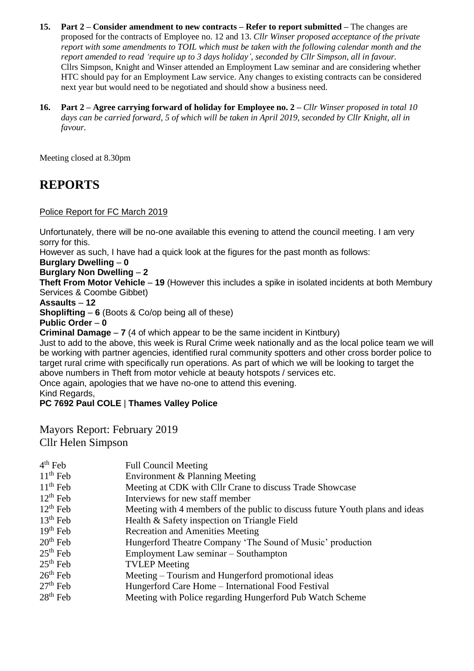- **15. Part 2 – Consider amendment to new contracts – Refer to report submitted –** The changes are proposed for the contracts of Employee no. 12 and 13. *Cllr Winser proposed acceptance of the private report with some amendments to TOIL which must be taken with the following calendar month and the report amended to read 'require up to 3 days holiday', seconded by Cllr Simpson, all in favour.* Cllrs Simpson, Knight and Winser attended an Employment Law seminar and are considering whether HTC should pay for an Employment Law service. Any changes to existing contracts can be considered next year but would need to be negotiated and should show a business need.
- **16. Part 2 – Agree carrying forward of holiday for Employee no. 2 –** *Cllr Winser proposed in total 10 days can be carried forward, 5 of which will be taken in April 2019, seconded by Cllr Knight, all in favour.*

Meeting closed at 8.30pm

# **REPORTS**

## Police Report for FC March 2019

Unfortunately, there will be no-one available this evening to attend the council meeting. I am very sorry for this.

However as such, I have had a quick look at the figures for the past month as follows:

**Burglary Dwelling** – **0**

# **Burglary Non Dwelling** – **2**

**Theft From Motor Vehicle** – **19** (However this includes a spike in isolated incidents at both Membury Services & Coombe Gibbet)

#### **Assaults** – **12**

**Shoplifting** – **6** (Boots & Co/op being all of these)

#### **Public Order** – **0**

**Criminal Damage** – **7** (4 of which appear to be the same incident in Kintbury)

Just to add to the above, this week is Rural Crime week nationally and as the local police team we will be working with partner agencies, identified rural community spotters and other cross border police to target rural crime with specifically run operations. As part of which we will be looking to target the above numbers in Theft from motor vehicle at beauty hotspots / services etc.

Once again, apologies that we have no-one to attend this evening.

Kind Regards,

**PC 7692 Paul COLE** | **Thames Valley Police**

Mayors Report: February 2019 Cllr Helen Simpson

| $4th$ Feb     | <b>Full Council Meeting</b>                                                  |
|---------------|------------------------------------------------------------------------------|
| $11th$ Feb    | Environment & Planning Meeting                                               |
| $11th$ Feb    | Meeting at CDK with Cllr Crane to discuss Trade Showcase                     |
| $12^{th}$ Feb | Interviews for new staff member                                              |
| $12^{th}$ Feb | Meeting with 4 members of the public to discuss future Youth plans and ideas |
| $13th$ Feb    | Health & Safety inspection on Triangle Field                                 |
| $19th$ Feb    | <b>Recreation and Amenities Meeting</b>                                      |
| $20th$ Feb    | Hungerford Theatre Company 'The Sound of Music' production                   |
| $25th$ Feb    | Employment Law seminar – Southampton                                         |
| $25th$ Feb    | <b>TVLEP</b> Meeting                                                         |
| $26th$ Feb    | Meeting – Tourism and Hungerford promotional ideas                           |
| $27th$ Feb    | Hungerford Care Home – International Food Festival                           |
| $28th$ Feb    | Meeting with Police regarding Hungerford Pub Watch Scheme                    |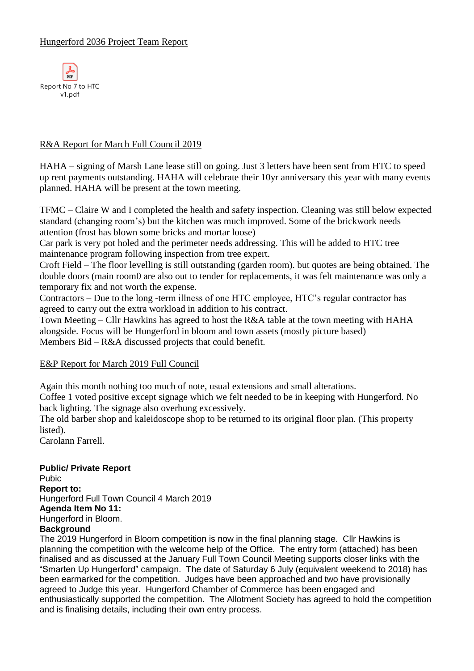

# R&A Report for March Full Council 2019

HAHA – signing of Marsh Lane lease still on going. Just 3 letters have been sent from HTC to speed up rent payments outstanding. HAHA will celebrate their 10yr anniversary this year with many events planned. HAHA will be present at the town meeting.

TFMC – Claire W and I completed the health and safety inspection. Cleaning was still below expected standard (changing room's) but the kitchen was much improved. Some of the brickwork needs attention (frost has blown some bricks and mortar loose)

Car park is very pot holed and the perimeter needs addressing. This will be added to HTC tree maintenance program following inspection from tree expert.

Croft Field – The floor levelling is still outstanding (garden room). but quotes are being obtained. The double doors (main room0 are also out to tender for replacements, it was felt maintenance was only a temporary fix and not worth the expense.

Contractors – Due to the long -term illness of one HTC employee, HTC's regular contractor has agreed to carry out the extra workload in addition to his contract.

Town Meeting – Cllr Hawkins has agreed to host the R&A table at the town meeting with HAHA alongside. Focus will be Hungerford in bloom and town assets (mostly picture based) Members Bid – R&A discussed projects that could benefit.

# E&P Report for March 2019 Full Council

Again this month nothing too much of note, usual extensions and small alterations.

Coffee 1 voted positive except signage which we felt needed to be in keeping with Hungerford. No back lighting. The signage also overhung excessively.

The old barber shop and kaleidoscope shop to be returned to its original floor plan. (This property listed).

Carolann Farrell.

# **Public/ Private Report**

Pubic **Report to:** Hungerford Full Town Council 4 March 2019 **Agenda Item No 11:**  Hungerford in Bloom.

# **Background**

The 2019 Hungerford in Bloom competition is now in the final planning stage. Cllr Hawkins is planning the competition with the welcome help of the Office. The entry form (attached) has been finalised and as discussed at the January Full Town Council Meeting supports closer links with the "Smarten Up Hungerford" campaign. The date of Saturday 6 July (equivalent weekend to 2018) has been earmarked for the competition. Judges have been approached and two have provisionally agreed to Judge this year. Hungerford Chamber of Commerce has been engaged and enthusiastically supported the competition. The Allotment Society has agreed to hold the competition and is finalising details, including their own entry process.